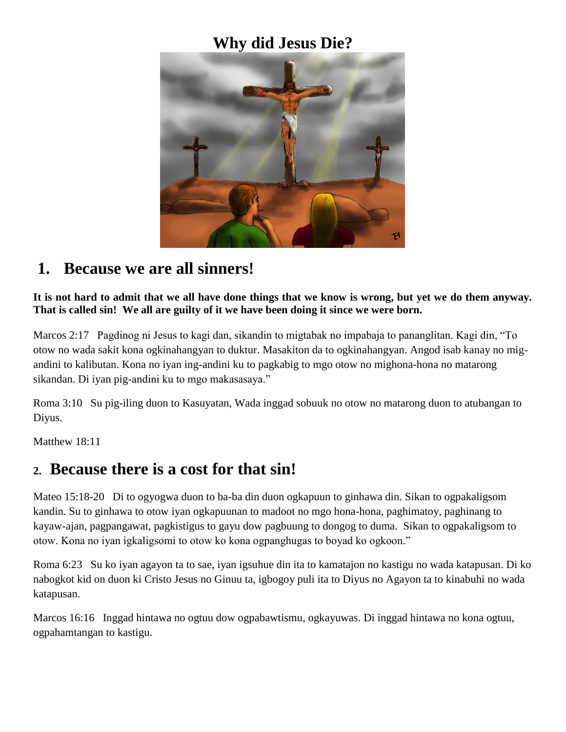## **Why did Jesus Die?**



### **1. Because we are all sinners!**

**It is not hard to admit that we all have done things that we know is wrong, but yet we do them anyway. That is called sin! We all are guilty of it we have been doing it since we were born.**

Marcos 2:17 Pagdinog ni Jesus to kagi dan, sikandin to migtabak no impabaja to pananglitan. Kagi din, "To otow no wada sakit kona ogkinahangyan to duktur. Masakiton da to ogkinahangyan. Angod isab kanay no migandini to kalibutan. Kona no iyan ing-andini ku to pagkabig to mgo otow no mighona-hona no matarong sikandan. Di iyan pig-andini ku to mgo makasasaya."

Roma 3:10 Su pig-iling duon to Kasuyatan, Wada inggad sobuuk no otow no matarong duon to atubangan to Diyus.

Matthew 18:11

#### **2. Because there is a cost for that sin!**

Mateo 15:18-20 Di to ogyogwa duon to ba-ba din duon ogkapuun to ginhawa din. Sikan to ogpakaligsom kandin. Su to ginhawa to otow iyan ogkapuunan to madoot no mgo hona-hona, paghimatoy, paghinang to kayaw-ajan, pagpangawat, pagkistigus to gayu dow pagbuung to dongog to duma. Sikan to ogpakaligsom to otow. Kona no iyan igkaligsomi to otow ko kona ogpanghugas to boyad ko ogkoon."

Roma 6:23 Su ko iyan agayon ta to sae, iyan igsuhue din ita to kamatajon no kastigu no wada katapusan. Di ko nabogkot kid on duon ki Cristo Jesus no Ginuu ta, igbogoy puli ita to Diyus no Agayon ta to kinabuhi no wada katapusan.

Marcos 16:16 Inggad hintawa no ogtuu dow ogpabawtismu, ogkayuwas. Di inggad hintawa no kona ogtuu, ogpahamtangan to kastigu.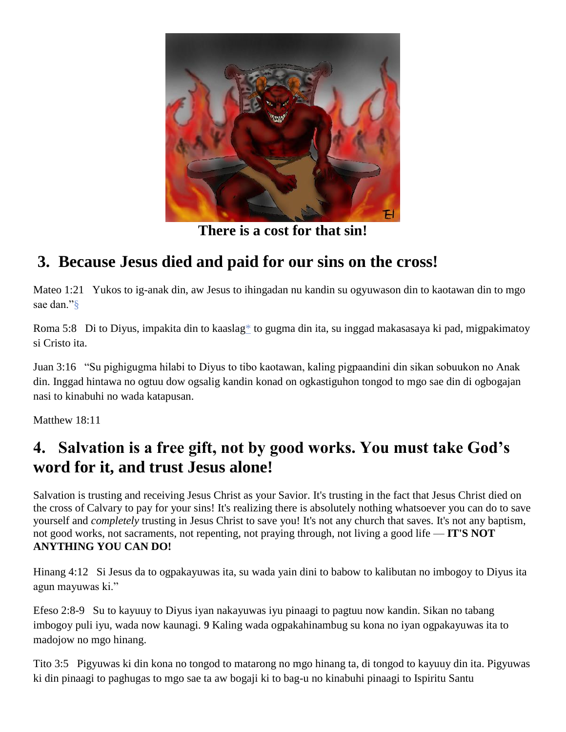

**There is a cost for that sin!**

## **3. Because Jesus died and paid for our sins on the cross!**

Mateo 1:21 Yukos to ig-anak din, aw Jesus to ihingadan nu kandin su ogyuwason din to kaotawan din to mgo sae dan.["§](http://ebible.org/study/content/texts/MSMWPS/MT1.html#note-3)

Roma 5:8 Di to Diyus, impakita din to kaasla[g\\*](http://ebible.org/study/content/texts/MSMWPS/RM5.html#note-427) to gugma din ita, su inggad makasasaya ki pad, migpakimatoy si Cristo ita.

Juan 3:16 "Su pighigugma hilabi to Diyus to tibo kaotawan, kaling pigpaandini din sikan sobuukon no Anak din. Inggad hintawa no ogtuu dow ogsalig kandin konad on ogkastiguhon tongod to mgo sae din di ogbogajan nasi to kinabuhi no wada katapusan.

Matthew 18:11

## **4. Salvation is a free gift, not by good works. You must take God's word for it, and trust Jesus alone!**

Salvation is trusting and receiving Jesus Christ as your Savior. It's trusting in the fact that Jesus Christ died on the cross of Calvary to pay for your sins! It's realizing there is absolutely nothing whatsoever you can do to save yourself and *completely* trusting in Jesus Christ to save you! It's not any church that saves. It's not any baptism, not good works, not sacraments, not repenting, not praying through, not living a good life — **IT'S NOT ANYTHING YOU CAN DO!**

Hinang 4:12 Si Jesus da to ogpakayuwas ita, su wada yain dini to babow to kalibutan no imbogoy to Diyus ita agun mayuwas ki."

Efeso 2:8-9 Su to kayuuy to Diyus iyan nakayuwas iyu pinaagi to pagtuu now kandin. Sikan no tabang imbogoy puli iyu, wada now kaunagi. **9** Kaling wada ogpakahinambug su kona no iyan ogpakayuwas ita to madojow no mgo hinang.

Tito 3:5 Pigyuwas ki din kona no tongod to matarong no mgo hinang ta, di tongod to kayuuy din ita. Pigyuwas ki din pinaagi to paghugas to mgo sae ta aw bogaji ki to bag-u no kinabuhi pinaagi to Ispiritu Santu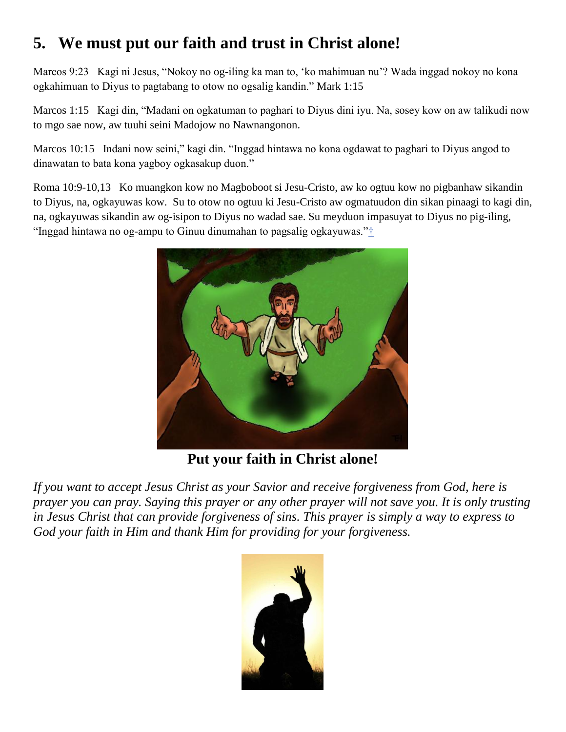# **5. We must put our faith and trust in Christ alone!**

Marcos 9:23 Kagi ni Jesus, "Nokoy no og-iling ka man to, 'ko mahimuan nu'? Wada inggad nokoy no kona ogkahimuan to Diyus to pagtabang to otow no ogsalig kandin." Mark 1:15

Marcos 1:15 Kagi din, "Madani on ogkatuman to paghari to Diyus dini iyu. Na, sosey kow on aw talikudi now to mgo sae now, aw tuuhi seini Madojow no Nawnangonon.

Marcos 10:15 Indani now seini," kagi din. "Inggad hintawa no kona ogdawat to paghari to Diyus angod to dinawatan to bata kona yagboy ogkasakup duon."

Roma 10:9-10,13 Ko muangkon kow no Magboboot si Jesu-Cristo, aw ko ogtuu kow no pigbanhaw sikandin to Diyus, na, ogkayuwas kow. Su to otow no ogtuu ki Jesu-Cristo aw ogmatuudon din sikan pinaagi to kagi din, na, ogkayuwas sikandin aw og-isipon to Diyus no wadad sae. Su meyduon impasuyat to Diyus no pig-iling, "Inggad hintawa no og-ampu to Ginuu dinumahan to pagsalig ogkayuwas."<sup>+</sup>



**Put your faith in Christ alone!**

*If you want to accept Jesus Christ as your Savior and receive forgiveness from God, here is prayer you can pray. Saying this prayer or any other prayer will not save you. It is only trusting in Jesus Christ that can provide forgiveness of sins. This prayer is simply a way to express to God your faith in Him and thank Him for providing for your forgiveness.*